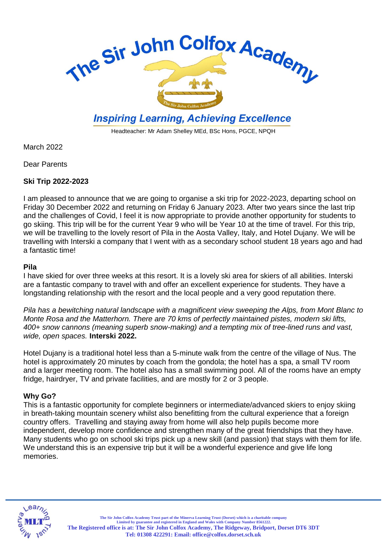

# **Inspiring Learning, Achieving Excellence**

Headteacher: Mr Adam Shelley MEd, BSc Hons, PGCE, NPQH

March 2022

Dear Parents

# **Ski Trip 2022-2023**

I am pleased to announce that we are going to organise a ski trip for 2022-2023, departing school on Friday 30 December 2022 and returning on Friday 6 January 2023. After two years since the last trip and the challenges of Covid, I feel it is now appropriate to provide another opportunity for students to go skiing. This trip will be for the current Year 9 who will be Year 10 at the time of travel. For this trip, we will be travelling to the lovely resort of Pila in the Aosta Valley, Italy, and Hotel Dujany. We will be travelling with Interski a company that I went with as a secondary school student 18 years ago and had a fantastic time!

# **Pila**

I have skied for over three weeks at this resort. It is a lovely ski area for skiers of all abilities. Interski are a fantastic company to travel with and offer an excellent experience for students. They have a longstanding relationship with the resort and the local people and a very good reputation there.

*Pila has a bewitching natural landscape with a magnificent view sweeping the Alps, from Mont Blanc to Monte Rosa and the Matterhorn. There are 70 kms of perfectly maintained pistes, modern ski lifts, 400+ snow cannons (meaning superb snow-making) and a tempting mix of tree-lined runs and vast, wide, open spaces.* **Interski 2022.**

Hotel Dujany is a traditional hotel less than a 5-minute walk from the centre of the village of Nus. The hotel is approximately 20 minutes by coach from the gondola; the hotel has a spa, a small TV room and a larger meeting room. The hotel also has a small swimming pool. All of the rooms have an empty fridge, hairdryer, TV and private facilities, and are mostly for 2 or 3 people.

# **Why Go?**

This is a fantastic opportunity for complete beginners or intermediate/advanced skiers to enjoy skiing in breath-taking mountain scenery whilst also benefitting from the cultural experience that a foreign country offers. Travelling and staying away from home will also help pupils become more independent, develop more confidence and strengthen many of the great friendships that they have. Many students who go on school ski trips pick up a new skill (and passion) that stays with them for life. We understand this is an expensive trip but it will be a wonderful experience and give life long memories.



The Sir John Colfox Academy Trust part of the Minerva Learning Trust (Dorset) which is a charitable company<br>Limited by guarantee and registered in England and Wales with Company Number 8561222. **The Registered office is at: The Sir John Colfox Academy, The Ridgeway, Bridport, Dorset DT6 3DT Tel: 01308 422291: Email[: office@colfox.dorset.sch.uk](mailto:office@colfox.dorset.sch.uk)**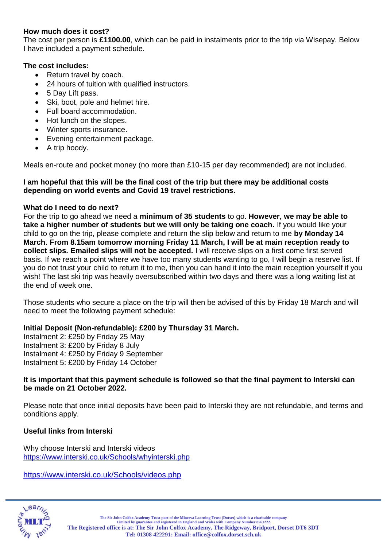# **How much does it cost?**

The cost per person is **£1100.00**, which can be paid in instalments prior to the trip via Wisepay. Below I have included a payment schedule.

# **The cost includes:**

- Return travel by coach.
- 24 hours of tuition with qualified instructors.
- 5 Day Lift pass.
- Ski, boot, pole and helmet hire.
- Full board accommodation.
- Hot lunch on the slopes.
- Winter sports insurance.
- Evening entertainment package.
- A trip hoody.

Meals en-route and pocket money (no more than £10-15 per day recommended) are not included.

#### **I am hopeful that this will be the final cost of the trip but there may be additional costs depending on world events and Covid 19 travel restrictions.**

# **What do I need to do next?**

For the trip to go ahead we need a **minimum of 35 students** to go. **However, we may be able to take a higher number of students but we will only be taking one coach.** If you would like your child to go on the trip, please complete and return the slip below and return to me **by Monday 14 March**. **From 8.15am tomorrow morning Friday 11 March, I will be at main reception ready to collect slips. Emailed slips will not be accepted.** I will receive slips on a first come first served basis. If we reach a point where we have too many students wanting to go, I will begin a reserve list. If you do not trust your child to return it to me, then you can hand it into the main reception yourself if you wish! The last ski trip was heavily oversubscribed within two days and there was a long waiting list at the end of week one.

Those students who secure a place on the trip will then be advised of this by Friday 18 March and will need to meet the following payment schedule:

# **Initial Deposit (Non-refundable): £200 by Thursday 31 March.**

Instalment 2: £250 by Friday 25 May Instalment 3: £200 by Friday 8 July Instalment 4: £250 by Friday 9 September Instalment 5: £200 by Friday 14 October

# **It is important that this payment schedule is followed so that the final payment to Interski can be made on 21 October 2022.**

Please note that once initial deposits have been paid to Interski they are not refundable, and terms and conditions apply.

# **Useful links from Interski**

Why choose Interski and Interski videos <https://www.interski.co.uk/Schools/whyinterski.php>

<https://www.interski.co.uk/Schools/videos.php>